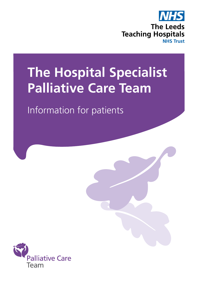

# **The Hospital Specialist Palliative Care Team**

Information for patients

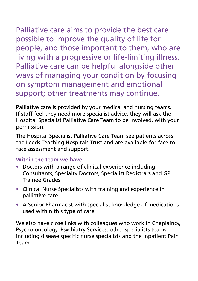Palliative care aims to provide the best care possible to improve the quality of life for people, and those important to them, who are living with a progressive or life-limiting illness. Palliative care can be helpful alongside other ways of managing your condition by focusing on symptom management and emotional support; other treatments may continue.

Palliative care is provided by your medical and nursing teams. If staff feel they need more specialist advice, they will ask the Hospital Specialist Palliative Care Team to be involved, with your permission.

The Hospital Specialist Palliative Care Team see patients across the Leeds Teaching Hospitals Trust and are available for face to face assessment and support.

#### **Within the team we have:**

- Doctors with a range of clinical experience including Consultants, Specialty Doctors, Specialist Registrars and GP Trainee Grades.
- Clinical Nurse Specialists with training and experience in palliative care.
- A Senior Pharmacist with specialist knowledge of medications used within this type of care.

We also have close links with colleagues who work in Chaplaincy, Psycho-oncology, Psychiatry Services, other specialists teams including disease specific nurse specialists and the Inpatient Pain Team.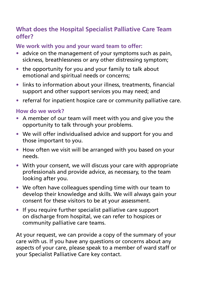#### **What does the Hospital Specialist Palliative Care Team offer?**

#### **We work with you and your ward team to offer:**

- advice on the management of your symptoms such as pain, sickness, breathlessness or any other distressing symptom;
- the opportunity for you and your family to talk about emotional and spiritual needs or concerns;
- links to information about your illness, treatments, financial support and other support services you may need; and
- referral for inpatient hospice care or community palliative care.

#### **How do we work?**

- A member of our team will meet with you and give you the opportunity to talk through your problems.
- We will offer individualised advice and support for you and those important to you.
- How often we visit will be arranged with you based on your needs.
- With your consent, we will discuss your care with appropriate professionals and provide advice, as necessary, to the team looking after you.
- We often have colleagues spending time with our team to develop their knowledge and skills. We will always gain your consent for these visitors to be at your assessment.
- If you require further specialist palliative care support on discharge from hospital, we can refer to hospices or community palliative care teams.

At your request, we can provide a copy of the summary of your care with us. If you have any questions or concerns about any aspects of your care, please speak to a member of ward staff or your Specialist Palliative Care key contact.